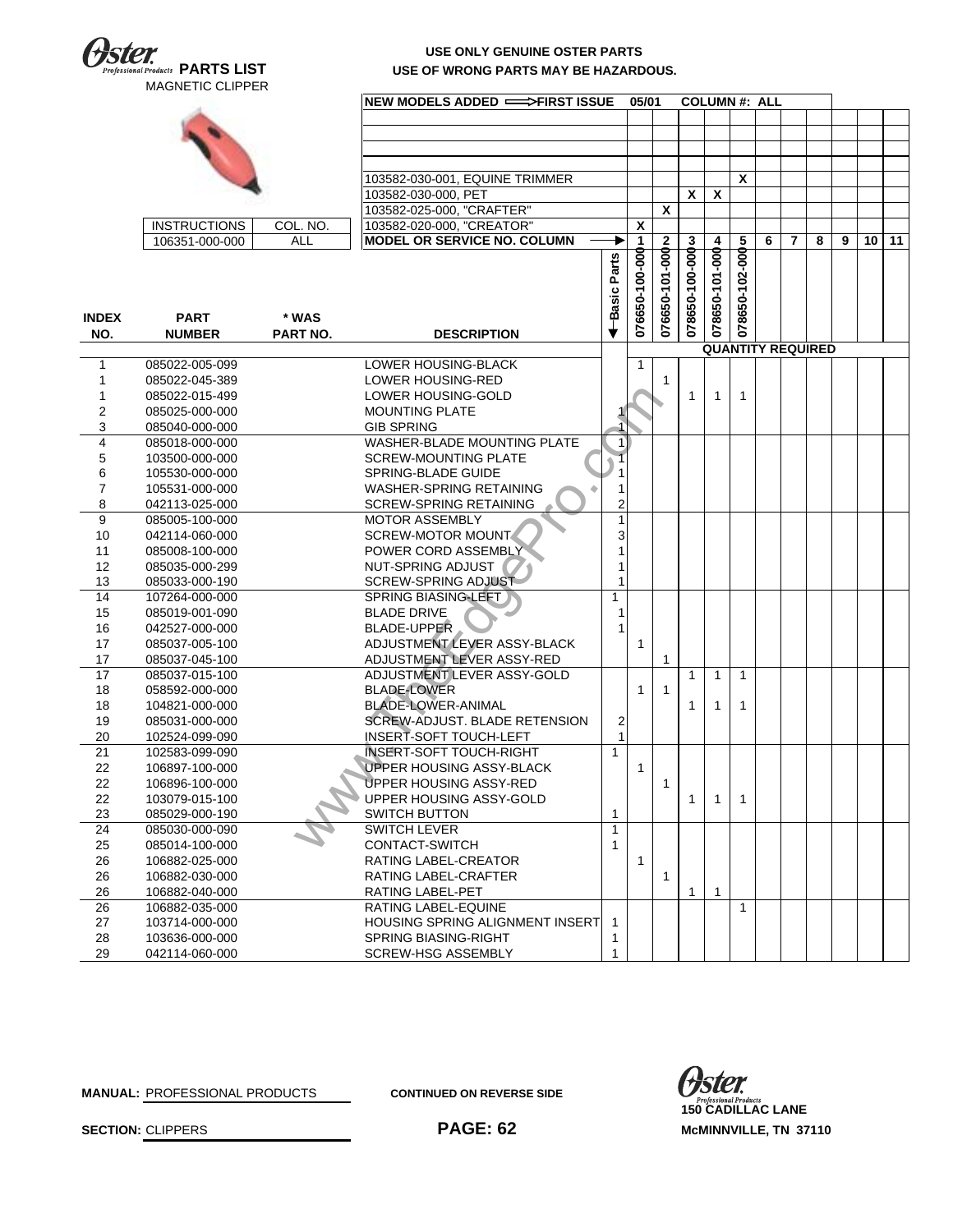

## **USE ONLY GENUINE OSTER PARTS USE OF WRONG PARTS MAY BE HAZARDOUS.**

| $\boldsymbol{x}$<br>103582-030-001, EQUINE TRIMMER<br>X<br>X<br>103582-030-000, PET<br>103582-025-000, "CRAFTER"<br>X<br>103582-020-000, "CREATOR"<br>X<br><b>INSTRUCTIONS</b><br>COL. NO.<br>ALL<br>MODEL OR SERVICE NO. COLUMN<br>8<br>9<br>11<br>106351-000-000<br>3<br>5<br>6<br>7<br>10<br>1<br>076650-101-000N<br>4<br>078650-100-000<br>078650-101-000<br>078650-102-000<br>076650-100-000<br>-Basic Parts<br><b>PART</b><br>* WAS<br><b>DESCRIPTION</b><br>NO.<br><b>NUMBER</b><br><b>PART NO.</b><br><b>QUANTITY REQUIRED</b><br>LOWER HOUSING-BLACK<br>085022-005-099<br>1<br>1<br>085022-045-389<br>LOWER HOUSING-RED<br>1<br>-1<br>1<br>LOWER HOUSING-GOLD<br>085022-015-499<br>$\mathbf{1}$<br>1<br>1<br>2<br><b>MOUNTING PLATE</b><br>085025-000-000<br>3<br><b>GIB SPRING</b><br>085040-000-000<br>4<br><b>WASHER-BLADE MOUNTING PLATE</b><br>085018-000-000<br>1<br>5<br><b>SCREW-MOUNTING PLATE</b><br>103500-000-000<br>6<br>105530-000-000<br>SPRING-BLADE GUIDE<br>7<br>WASHER-SPRING RETAINING<br>105531-000-000<br>1<br>8<br>2<br>042113-025-000<br><b>SCREW-SPRING RETAINING</b><br>9<br><b>MOTOR ASSEMBLY</b><br>1<br>085005-100-000<br><b>SCREW-MOTOR MOUNT</b><br>3<br>10<br>042114-060-000<br>POWER CORD ASSEMBLY<br>11<br>085008-100-000<br>1<br>12<br>NUT-SPRING ADJUST<br>085035-000-299<br>1<br>13<br><b>SCREW-SPRING ADJUST</b><br>1<br>085033-000-190<br>14<br><b>SPRING BIASING-LEFT</b><br>107264-000-000<br>$\mathbf{1}$<br>15<br><b>BLADE DRIVE</b><br>085019-001-090<br>1<br><b>BLADE-UPPER</b><br>16<br>042527-000-000<br>1<br>ADJUSTMENT LEVER ASSY-BLACK<br>17<br>085037-005-100<br>$\mathbf{1}$<br>ADJUSTMENT LEVER ASSY-RED<br>17<br>085037-045-100<br>1<br>ADJUSTMENT LEVER ASSY-GOLD<br>17<br>085037-015-100<br>$\mathbf{1}$<br>$\mathbf{1}$<br>$\mathbf{1}$<br>18<br>058592-000-000<br><b>BLADE-LOWER</b><br>1<br>1<br><b>BLADE-LOWER-ANIMAL</b><br>18<br>104821-000-000<br>1<br>1<br>1<br><b>SCREW-ADJUST, BLADE RETENSION</b><br>19<br>085031-000-000<br>2<br>1<br>20<br>102524-099-090<br>INSERT-SOFT TOUCH-LEFT<br>21<br><b>INSERT-SOFT TOUCH-RIGHT</b><br>102583-099-090<br>1<br><b>UPPER HOUSING ASSY-BLACK</b><br>22<br>106897-100-000<br>$\mathbf{1}$<br>22<br>UPPER HOUSING ASSY-RED<br>106896-100-000<br>1<br>22<br>103079-015-100<br>UPPER HOUSING ASSY-GOLD<br>1<br>1<br>$\mathbf{1}$<br><b>SWITCH BUTTON</b><br>23<br>085029-000-190<br>1<br>24<br>SWITCH LEVER<br>$\mathbf{1}$<br>085030-000-090<br>CONTACT-SWITCH<br>25<br>085014-100-000<br>1<br>26<br>106882-025-000<br>RATING LABEL-CREATOR<br>$\mathbf{1}$<br>26<br>106882-030-000<br>RATING LABEL-CRAFTER<br>1<br>$\mathbf{1}$<br>26<br>106882-040-000<br>RATING LABEL-PET<br>$\mathbf{1}$<br>26<br>106882-035-000<br>RATING LABEL-EQUINE<br>$\mathbf{1}$<br>27<br>103714-000-000<br><b>HOUSING SPRING ALIGNMENT INSERT</b><br>-1<br>28<br>103636-000-000<br><b>SPRING BIASING-RIGHT</b><br>1<br>29<br>042114-060-000<br>SCREW-HSG ASSEMBLY<br>1 |              |  | NEW MODELS ADDED ==>FIRST ISSUE | 05/01 |  | <b>COLUMN#: ALL</b> |  |  |  |  |
|--------------------------------------------------------------------------------------------------------------------------------------------------------------------------------------------------------------------------------------------------------------------------------------------------------------------------------------------------------------------------------------------------------------------------------------------------------------------------------------------------------------------------------------------------------------------------------------------------------------------------------------------------------------------------------------------------------------------------------------------------------------------------------------------------------------------------------------------------------------------------------------------------------------------------------------------------------------------------------------------------------------------------------------------------------------------------------------------------------------------------------------------------------------------------------------------------------------------------------------------------------------------------------------------------------------------------------------------------------------------------------------------------------------------------------------------------------------------------------------------------------------------------------------------------------------------------------------------------------------------------------------------------------------------------------------------------------------------------------------------------------------------------------------------------------------------------------------------------------------------------------------------------------------------------------------------------------------------------------------------------------------------------------------------------------------------------------------------------------------------------------------------------------------------------------------------------------------------------------------------------------------------------------------------------------------------------------------------------------------------------------------------------------------------------------------------------------------------------------------------------------------------------------------------------------------------------------------------------------------------------------------------------------------------------------------------------------------------------------------------------------------------------------------------------------------------------------------------------------------------------------------------------------------------------------------------------------------------|--------------|--|---------------------------------|-------|--|---------------------|--|--|--|--|
|                                                                                                                                                                                                                                                                                                                                                                                                                                                                                                                                                                                                                                                                                                                                                                                                                                                                                                                                                                                                                                                                                                                                                                                                                                                                                                                                                                                                                                                                                                                                                                                                                                                                                                                                                                                                                                                                                                                                                                                                                                                                                                                                                                                                                                                                                                                                                                                                                                                                                                                                                                                                                                                                                                                                                                                                                                                                                                                                                                    |              |  |                                 |       |  |                     |  |  |  |  |
|                                                                                                                                                                                                                                                                                                                                                                                                                                                                                                                                                                                                                                                                                                                                                                                                                                                                                                                                                                                                                                                                                                                                                                                                                                                                                                                                                                                                                                                                                                                                                                                                                                                                                                                                                                                                                                                                                                                                                                                                                                                                                                                                                                                                                                                                                                                                                                                                                                                                                                                                                                                                                                                                                                                                                                                                                                                                                                                                                                    |              |  |                                 |       |  |                     |  |  |  |  |
|                                                                                                                                                                                                                                                                                                                                                                                                                                                                                                                                                                                                                                                                                                                                                                                                                                                                                                                                                                                                                                                                                                                                                                                                                                                                                                                                                                                                                                                                                                                                                                                                                                                                                                                                                                                                                                                                                                                                                                                                                                                                                                                                                                                                                                                                                                                                                                                                                                                                                                                                                                                                                                                                                                                                                                                                                                                                                                                                                                    |              |  |                                 |       |  |                     |  |  |  |  |
|                                                                                                                                                                                                                                                                                                                                                                                                                                                                                                                                                                                                                                                                                                                                                                                                                                                                                                                                                                                                                                                                                                                                                                                                                                                                                                                                                                                                                                                                                                                                                                                                                                                                                                                                                                                                                                                                                                                                                                                                                                                                                                                                                                                                                                                                                                                                                                                                                                                                                                                                                                                                                                                                                                                                                                                                                                                                                                                                                                    |              |  |                                 |       |  |                     |  |  |  |  |
|                                                                                                                                                                                                                                                                                                                                                                                                                                                                                                                                                                                                                                                                                                                                                                                                                                                                                                                                                                                                                                                                                                                                                                                                                                                                                                                                                                                                                                                                                                                                                                                                                                                                                                                                                                                                                                                                                                                                                                                                                                                                                                                                                                                                                                                                                                                                                                                                                                                                                                                                                                                                                                                                                                                                                                                                                                                                                                                                                                    |              |  |                                 |       |  |                     |  |  |  |  |
|                                                                                                                                                                                                                                                                                                                                                                                                                                                                                                                                                                                                                                                                                                                                                                                                                                                                                                                                                                                                                                                                                                                                                                                                                                                                                                                                                                                                                                                                                                                                                                                                                                                                                                                                                                                                                                                                                                                                                                                                                                                                                                                                                                                                                                                                                                                                                                                                                                                                                                                                                                                                                                                                                                                                                                                                                                                                                                                                                                    |              |  |                                 |       |  |                     |  |  |  |  |
|                                                                                                                                                                                                                                                                                                                                                                                                                                                                                                                                                                                                                                                                                                                                                                                                                                                                                                                                                                                                                                                                                                                                                                                                                                                                                                                                                                                                                                                                                                                                                                                                                                                                                                                                                                                                                                                                                                                                                                                                                                                                                                                                                                                                                                                                                                                                                                                                                                                                                                                                                                                                                                                                                                                                                                                                                                                                                                                                                                    |              |  |                                 |       |  |                     |  |  |  |  |
|                                                                                                                                                                                                                                                                                                                                                                                                                                                                                                                                                                                                                                                                                                                                                                                                                                                                                                                                                                                                                                                                                                                                                                                                                                                                                                                                                                                                                                                                                                                                                                                                                                                                                                                                                                                                                                                                                                                                                                                                                                                                                                                                                                                                                                                                                                                                                                                                                                                                                                                                                                                                                                                                                                                                                                                                                                                                                                                                                                    |              |  |                                 |       |  |                     |  |  |  |  |
|                                                                                                                                                                                                                                                                                                                                                                                                                                                                                                                                                                                                                                                                                                                                                                                                                                                                                                                                                                                                                                                                                                                                                                                                                                                                                                                                                                                                                                                                                                                                                                                                                                                                                                                                                                                                                                                                                                                                                                                                                                                                                                                                                                                                                                                                                                                                                                                                                                                                                                                                                                                                                                                                                                                                                                                                                                                                                                                                                                    |              |  |                                 |       |  |                     |  |  |  |  |
|                                                                                                                                                                                                                                                                                                                                                                                                                                                                                                                                                                                                                                                                                                                                                                                                                                                                                                                                                                                                                                                                                                                                                                                                                                                                                                                                                                                                                                                                                                                                                                                                                                                                                                                                                                                                                                                                                                                                                                                                                                                                                                                                                                                                                                                                                                                                                                                                                                                                                                                                                                                                                                                                                                                                                                                                                                                                                                                                                                    |              |  |                                 |       |  |                     |  |  |  |  |
|                                                                                                                                                                                                                                                                                                                                                                                                                                                                                                                                                                                                                                                                                                                                                                                                                                                                                                                                                                                                                                                                                                                                                                                                                                                                                                                                                                                                                                                                                                                                                                                                                                                                                                                                                                                                                                                                                                                                                                                                                                                                                                                                                                                                                                                                                                                                                                                                                                                                                                                                                                                                                                                                                                                                                                                                                                                                                                                                                                    |              |  |                                 |       |  |                     |  |  |  |  |
|                                                                                                                                                                                                                                                                                                                                                                                                                                                                                                                                                                                                                                                                                                                                                                                                                                                                                                                                                                                                                                                                                                                                                                                                                                                                                                                                                                                                                                                                                                                                                                                                                                                                                                                                                                                                                                                                                                                                                                                                                                                                                                                                                                                                                                                                                                                                                                                                                                                                                                                                                                                                                                                                                                                                                                                                                                                                                                                                                                    |              |  |                                 |       |  |                     |  |  |  |  |
|                                                                                                                                                                                                                                                                                                                                                                                                                                                                                                                                                                                                                                                                                                                                                                                                                                                                                                                                                                                                                                                                                                                                                                                                                                                                                                                                                                                                                                                                                                                                                                                                                                                                                                                                                                                                                                                                                                                                                                                                                                                                                                                                                                                                                                                                                                                                                                                                                                                                                                                                                                                                                                                                                                                                                                                                                                                                                                                                                                    |              |  |                                 |       |  |                     |  |  |  |  |
|                                                                                                                                                                                                                                                                                                                                                                                                                                                                                                                                                                                                                                                                                                                                                                                                                                                                                                                                                                                                                                                                                                                                                                                                                                                                                                                                                                                                                                                                                                                                                                                                                                                                                                                                                                                                                                                                                                                                                                                                                                                                                                                                                                                                                                                                                                                                                                                                                                                                                                                                                                                                                                                                                                                                                                                                                                                                                                                                                                    |              |  |                                 |       |  |                     |  |  |  |  |
|                                                                                                                                                                                                                                                                                                                                                                                                                                                                                                                                                                                                                                                                                                                                                                                                                                                                                                                                                                                                                                                                                                                                                                                                                                                                                                                                                                                                                                                                                                                                                                                                                                                                                                                                                                                                                                                                                                                                                                                                                                                                                                                                                                                                                                                                                                                                                                                                                                                                                                                                                                                                                                                                                                                                                                                                                                                                                                                                                                    | <b>INDEX</b> |  |                                 |       |  |                     |  |  |  |  |
|                                                                                                                                                                                                                                                                                                                                                                                                                                                                                                                                                                                                                                                                                                                                                                                                                                                                                                                                                                                                                                                                                                                                                                                                                                                                                                                                                                                                                                                                                                                                                                                                                                                                                                                                                                                                                                                                                                                                                                                                                                                                                                                                                                                                                                                                                                                                                                                                                                                                                                                                                                                                                                                                                                                                                                                                                                                                                                                                                                    |              |  |                                 |       |  |                     |  |  |  |  |
|                                                                                                                                                                                                                                                                                                                                                                                                                                                                                                                                                                                                                                                                                                                                                                                                                                                                                                                                                                                                                                                                                                                                                                                                                                                                                                                                                                                                                                                                                                                                                                                                                                                                                                                                                                                                                                                                                                                                                                                                                                                                                                                                                                                                                                                                                                                                                                                                                                                                                                                                                                                                                                                                                                                                                                                                                                                                                                                                                                    |              |  |                                 |       |  |                     |  |  |  |  |
|                                                                                                                                                                                                                                                                                                                                                                                                                                                                                                                                                                                                                                                                                                                                                                                                                                                                                                                                                                                                                                                                                                                                                                                                                                                                                                                                                                                                                                                                                                                                                                                                                                                                                                                                                                                                                                                                                                                                                                                                                                                                                                                                                                                                                                                                                                                                                                                                                                                                                                                                                                                                                                                                                                                                                                                                                                                                                                                                                                    |              |  |                                 |       |  |                     |  |  |  |  |
|                                                                                                                                                                                                                                                                                                                                                                                                                                                                                                                                                                                                                                                                                                                                                                                                                                                                                                                                                                                                                                                                                                                                                                                                                                                                                                                                                                                                                                                                                                                                                                                                                                                                                                                                                                                                                                                                                                                                                                                                                                                                                                                                                                                                                                                                                                                                                                                                                                                                                                                                                                                                                                                                                                                                                                                                                                                                                                                                                                    |              |  |                                 |       |  |                     |  |  |  |  |
|                                                                                                                                                                                                                                                                                                                                                                                                                                                                                                                                                                                                                                                                                                                                                                                                                                                                                                                                                                                                                                                                                                                                                                                                                                                                                                                                                                                                                                                                                                                                                                                                                                                                                                                                                                                                                                                                                                                                                                                                                                                                                                                                                                                                                                                                                                                                                                                                                                                                                                                                                                                                                                                                                                                                                                                                                                                                                                                                                                    |              |  |                                 |       |  |                     |  |  |  |  |
|                                                                                                                                                                                                                                                                                                                                                                                                                                                                                                                                                                                                                                                                                                                                                                                                                                                                                                                                                                                                                                                                                                                                                                                                                                                                                                                                                                                                                                                                                                                                                                                                                                                                                                                                                                                                                                                                                                                                                                                                                                                                                                                                                                                                                                                                                                                                                                                                                                                                                                                                                                                                                                                                                                                                                                                                                                                                                                                                                                    |              |  |                                 |       |  |                     |  |  |  |  |
|                                                                                                                                                                                                                                                                                                                                                                                                                                                                                                                                                                                                                                                                                                                                                                                                                                                                                                                                                                                                                                                                                                                                                                                                                                                                                                                                                                                                                                                                                                                                                                                                                                                                                                                                                                                                                                                                                                                                                                                                                                                                                                                                                                                                                                                                                                                                                                                                                                                                                                                                                                                                                                                                                                                                                                                                                                                                                                                                                                    |              |  |                                 |       |  |                     |  |  |  |  |
|                                                                                                                                                                                                                                                                                                                                                                                                                                                                                                                                                                                                                                                                                                                                                                                                                                                                                                                                                                                                                                                                                                                                                                                                                                                                                                                                                                                                                                                                                                                                                                                                                                                                                                                                                                                                                                                                                                                                                                                                                                                                                                                                                                                                                                                                                                                                                                                                                                                                                                                                                                                                                                                                                                                                                                                                                                                                                                                                                                    |              |  |                                 |       |  |                     |  |  |  |  |
|                                                                                                                                                                                                                                                                                                                                                                                                                                                                                                                                                                                                                                                                                                                                                                                                                                                                                                                                                                                                                                                                                                                                                                                                                                                                                                                                                                                                                                                                                                                                                                                                                                                                                                                                                                                                                                                                                                                                                                                                                                                                                                                                                                                                                                                                                                                                                                                                                                                                                                                                                                                                                                                                                                                                                                                                                                                                                                                                                                    |              |  |                                 |       |  |                     |  |  |  |  |
|                                                                                                                                                                                                                                                                                                                                                                                                                                                                                                                                                                                                                                                                                                                                                                                                                                                                                                                                                                                                                                                                                                                                                                                                                                                                                                                                                                                                                                                                                                                                                                                                                                                                                                                                                                                                                                                                                                                                                                                                                                                                                                                                                                                                                                                                                                                                                                                                                                                                                                                                                                                                                                                                                                                                                                                                                                                                                                                                                                    |              |  |                                 |       |  |                     |  |  |  |  |
|                                                                                                                                                                                                                                                                                                                                                                                                                                                                                                                                                                                                                                                                                                                                                                                                                                                                                                                                                                                                                                                                                                                                                                                                                                                                                                                                                                                                                                                                                                                                                                                                                                                                                                                                                                                                                                                                                                                                                                                                                                                                                                                                                                                                                                                                                                                                                                                                                                                                                                                                                                                                                                                                                                                                                                                                                                                                                                                                                                    |              |  |                                 |       |  |                     |  |  |  |  |
|                                                                                                                                                                                                                                                                                                                                                                                                                                                                                                                                                                                                                                                                                                                                                                                                                                                                                                                                                                                                                                                                                                                                                                                                                                                                                                                                                                                                                                                                                                                                                                                                                                                                                                                                                                                                                                                                                                                                                                                                                                                                                                                                                                                                                                                                                                                                                                                                                                                                                                                                                                                                                                                                                                                                                                                                                                                                                                                                                                    |              |  |                                 |       |  |                     |  |  |  |  |
|                                                                                                                                                                                                                                                                                                                                                                                                                                                                                                                                                                                                                                                                                                                                                                                                                                                                                                                                                                                                                                                                                                                                                                                                                                                                                                                                                                                                                                                                                                                                                                                                                                                                                                                                                                                                                                                                                                                                                                                                                                                                                                                                                                                                                                                                                                                                                                                                                                                                                                                                                                                                                                                                                                                                                                                                                                                                                                                                                                    |              |  |                                 |       |  |                     |  |  |  |  |
|                                                                                                                                                                                                                                                                                                                                                                                                                                                                                                                                                                                                                                                                                                                                                                                                                                                                                                                                                                                                                                                                                                                                                                                                                                                                                                                                                                                                                                                                                                                                                                                                                                                                                                                                                                                                                                                                                                                                                                                                                                                                                                                                                                                                                                                                                                                                                                                                                                                                                                                                                                                                                                                                                                                                                                                                                                                                                                                                                                    |              |  |                                 |       |  |                     |  |  |  |  |
|                                                                                                                                                                                                                                                                                                                                                                                                                                                                                                                                                                                                                                                                                                                                                                                                                                                                                                                                                                                                                                                                                                                                                                                                                                                                                                                                                                                                                                                                                                                                                                                                                                                                                                                                                                                                                                                                                                                                                                                                                                                                                                                                                                                                                                                                                                                                                                                                                                                                                                                                                                                                                                                                                                                                                                                                                                                                                                                                                                    |              |  |                                 |       |  |                     |  |  |  |  |
|                                                                                                                                                                                                                                                                                                                                                                                                                                                                                                                                                                                                                                                                                                                                                                                                                                                                                                                                                                                                                                                                                                                                                                                                                                                                                                                                                                                                                                                                                                                                                                                                                                                                                                                                                                                                                                                                                                                                                                                                                                                                                                                                                                                                                                                                                                                                                                                                                                                                                                                                                                                                                                                                                                                                                                                                                                                                                                                                                                    |              |  |                                 |       |  |                     |  |  |  |  |
|                                                                                                                                                                                                                                                                                                                                                                                                                                                                                                                                                                                                                                                                                                                                                                                                                                                                                                                                                                                                                                                                                                                                                                                                                                                                                                                                                                                                                                                                                                                                                                                                                                                                                                                                                                                                                                                                                                                                                                                                                                                                                                                                                                                                                                                                                                                                                                                                                                                                                                                                                                                                                                                                                                                                                                                                                                                                                                                                                                    |              |  |                                 |       |  |                     |  |  |  |  |
|                                                                                                                                                                                                                                                                                                                                                                                                                                                                                                                                                                                                                                                                                                                                                                                                                                                                                                                                                                                                                                                                                                                                                                                                                                                                                                                                                                                                                                                                                                                                                                                                                                                                                                                                                                                                                                                                                                                                                                                                                                                                                                                                                                                                                                                                                                                                                                                                                                                                                                                                                                                                                                                                                                                                                                                                                                                                                                                                                                    |              |  |                                 |       |  |                     |  |  |  |  |
|                                                                                                                                                                                                                                                                                                                                                                                                                                                                                                                                                                                                                                                                                                                                                                                                                                                                                                                                                                                                                                                                                                                                                                                                                                                                                                                                                                                                                                                                                                                                                                                                                                                                                                                                                                                                                                                                                                                                                                                                                                                                                                                                                                                                                                                                                                                                                                                                                                                                                                                                                                                                                                                                                                                                                                                                                                                                                                                                                                    |              |  |                                 |       |  |                     |  |  |  |  |
|                                                                                                                                                                                                                                                                                                                                                                                                                                                                                                                                                                                                                                                                                                                                                                                                                                                                                                                                                                                                                                                                                                                                                                                                                                                                                                                                                                                                                                                                                                                                                                                                                                                                                                                                                                                                                                                                                                                                                                                                                                                                                                                                                                                                                                                                                                                                                                                                                                                                                                                                                                                                                                                                                                                                                                                                                                                                                                                                                                    |              |  |                                 |       |  |                     |  |  |  |  |
|                                                                                                                                                                                                                                                                                                                                                                                                                                                                                                                                                                                                                                                                                                                                                                                                                                                                                                                                                                                                                                                                                                                                                                                                                                                                                                                                                                                                                                                                                                                                                                                                                                                                                                                                                                                                                                                                                                                                                                                                                                                                                                                                                                                                                                                                                                                                                                                                                                                                                                                                                                                                                                                                                                                                                                                                                                                                                                                                                                    |              |  |                                 |       |  |                     |  |  |  |  |
|                                                                                                                                                                                                                                                                                                                                                                                                                                                                                                                                                                                                                                                                                                                                                                                                                                                                                                                                                                                                                                                                                                                                                                                                                                                                                                                                                                                                                                                                                                                                                                                                                                                                                                                                                                                                                                                                                                                                                                                                                                                                                                                                                                                                                                                                                                                                                                                                                                                                                                                                                                                                                                                                                                                                                                                                                                                                                                                                                                    |              |  |                                 |       |  |                     |  |  |  |  |
|                                                                                                                                                                                                                                                                                                                                                                                                                                                                                                                                                                                                                                                                                                                                                                                                                                                                                                                                                                                                                                                                                                                                                                                                                                                                                                                                                                                                                                                                                                                                                                                                                                                                                                                                                                                                                                                                                                                                                                                                                                                                                                                                                                                                                                                                                                                                                                                                                                                                                                                                                                                                                                                                                                                                                                                                                                                                                                                                                                    |              |  |                                 |       |  |                     |  |  |  |  |
|                                                                                                                                                                                                                                                                                                                                                                                                                                                                                                                                                                                                                                                                                                                                                                                                                                                                                                                                                                                                                                                                                                                                                                                                                                                                                                                                                                                                                                                                                                                                                                                                                                                                                                                                                                                                                                                                                                                                                                                                                                                                                                                                                                                                                                                                                                                                                                                                                                                                                                                                                                                                                                                                                                                                                                                                                                                                                                                                                                    |              |  |                                 |       |  |                     |  |  |  |  |
|                                                                                                                                                                                                                                                                                                                                                                                                                                                                                                                                                                                                                                                                                                                                                                                                                                                                                                                                                                                                                                                                                                                                                                                                                                                                                                                                                                                                                                                                                                                                                                                                                                                                                                                                                                                                                                                                                                                                                                                                                                                                                                                                                                                                                                                                                                                                                                                                                                                                                                                                                                                                                                                                                                                                                                                                                                                                                                                                                                    |              |  |                                 |       |  |                     |  |  |  |  |
|                                                                                                                                                                                                                                                                                                                                                                                                                                                                                                                                                                                                                                                                                                                                                                                                                                                                                                                                                                                                                                                                                                                                                                                                                                                                                                                                                                                                                                                                                                                                                                                                                                                                                                                                                                                                                                                                                                                                                                                                                                                                                                                                                                                                                                                                                                                                                                                                                                                                                                                                                                                                                                                                                                                                                                                                                                                                                                                                                                    |              |  |                                 |       |  |                     |  |  |  |  |
|                                                                                                                                                                                                                                                                                                                                                                                                                                                                                                                                                                                                                                                                                                                                                                                                                                                                                                                                                                                                                                                                                                                                                                                                                                                                                                                                                                                                                                                                                                                                                                                                                                                                                                                                                                                                                                                                                                                                                                                                                                                                                                                                                                                                                                                                                                                                                                                                                                                                                                                                                                                                                                                                                                                                                                                                                                                                                                                                                                    |              |  |                                 |       |  |                     |  |  |  |  |
|                                                                                                                                                                                                                                                                                                                                                                                                                                                                                                                                                                                                                                                                                                                                                                                                                                                                                                                                                                                                                                                                                                                                                                                                                                                                                                                                                                                                                                                                                                                                                                                                                                                                                                                                                                                                                                                                                                                                                                                                                                                                                                                                                                                                                                                                                                                                                                                                                                                                                                                                                                                                                                                                                                                                                                                                                                                                                                                                                                    |              |  |                                 |       |  |                     |  |  |  |  |
|                                                                                                                                                                                                                                                                                                                                                                                                                                                                                                                                                                                                                                                                                                                                                                                                                                                                                                                                                                                                                                                                                                                                                                                                                                                                                                                                                                                                                                                                                                                                                                                                                                                                                                                                                                                                                                                                                                                                                                                                                                                                                                                                                                                                                                                                                                                                                                                                                                                                                                                                                                                                                                                                                                                                                                                                                                                                                                                                                                    |              |  |                                 |       |  |                     |  |  |  |  |
|                                                                                                                                                                                                                                                                                                                                                                                                                                                                                                                                                                                                                                                                                                                                                                                                                                                                                                                                                                                                                                                                                                                                                                                                                                                                                                                                                                                                                                                                                                                                                                                                                                                                                                                                                                                                                                                                                                                                                                                                                                                                                                                                                                                                                                                                                                                                                                                                                                                                                                                                                                                                                                                                                                                                                                                                                                                                                                                                                                    |              |  |                                 |       |  |                     |  |  |  |  |
|                                                                                                                                                                                                                                                                                                                                                                                                                                                                                                                                                                                                                                                                                                                                                                                                                                                                                                                                                                                                                                                                                                                                                                                                                                                                                                                                                                                                                                                                                                                                                                                                                                                                                                                                                                                                                                                                                                                                                                                                                                                                                                                                                                                                                                                                                                                                                                                                                                                                                                                                                                                                                                                                                                                                                                                                                                                                                                                                                                    |              |  |                                 |       |  |                     |  |  |  |  |
|                                                                                                                                                                                                                                                                                                                                                                                                                                                                                                                                                                                                                                                                                                                                                                                                                                                                                                                                                                                                                                                                                                                                                                                                                                                                                                                                                                                                                                                                                                                                                                                                                                                                                                                                                                                                                                                                                                                                                                                                                                                                                                                                                                                                                                                                                                                                                                                                                                                                                                                                                                                                                                                                                                                                                                                                                                                                                                                                                                    |              |  |                                 |       |  |                     |  |  |  |  |
|                                                                                                                                                                                                                                                                                                                                                                                                                                                                                                                                                                                                                                                                                                                                                                                                                                                                                                                                                                                                                                                                                                                                                                                                                                                                                                                                                                                                                                                                                                                                                                                                                                                                                                                                                                                                                                                                                                                                                                                                                                                                                                                                                                                                                                                                                                                                                                                                                                                                                                                                                                                                                                                                                                                                                                                                                                                                                                                                                                    |              |  |                                 |       |  |                     |  |  |  |  |
|                                                                                                                                                                                                                                                                                                                                                                                                                                                                                                                                                                                                                                                                                                                                                                                                                                                                                                                                                                                                                                                                                                                                                                                                                                                                                                                                                                                                                                                                                                                                                                                                                                                                                                                                                                                                                                                                                                                                                                                                                                                                                                                                                                                                                                                                                                                                                                                                                                                                                                                                                                                                                                                                                                                                                                                                                                                                                                                                                                    |              |  |                                 |       |  |                     |  |  |  |  |
|                                                                                                                                                                                                                                                                                                                                                                                                                                                                                                                                                                                                                                                                                                                                                                                                                                                                                                                                                                                                                                                                                                                                                                                                                                                                                                                                                                                                                                                                                                                                                                                                                                                                                                                                                                                                                                                                                                                                                                                                                                                                                                                                                                                                                                                                                                                                                                                                                                                                                                                                                                                                                                                                                                                                                                                                                                                                                                                                                                    |              |  |                                 |       |  |                     |  |  |  |  |
|                                                                                                                                                                                                                                                                                                                                                                                                                                                                                                                                                                                                                                                                                                                                                                                                                                                                                                                                                                                                                                                                                                                                                                                                                                                                                                                                                                                                                                                                                                                                                                                                                                                                                                                                                                                                                                                                                                                                                                                                                                                                                                                                                                                                                                                                                                                                                                                                                                                                                                                                                                                                                                                                                                                                                                                                                                                                                                                                                                    |              |  |                                 |       |  |                     |  |  |  |  |
|                                                                                                                                                                                                                                                                                                                                                                                                                                                                                                                                                                                                                                                                                                                                                                                                                                                                                                                                                                                                                                                                                                                                                                                                                                                                                                                                                                                                                                                                                                                                                                                                                                                                                                                                                                                                                                                                                                                                                                                                                                                                                                                                                                                                                                                                                                                                                                                                                                                                                                                                                                                                                                                                                                                                                                                                                                                                                                                                                                    |              |  |                                 |       |  |                     |  |  |  |  |
|                                                                                                                                                                                                                                                                                                                                                                                                                                                                                                                                                                                                                                                                                                                                                                                                                                                                                                                                                                                                                                                                                                                                                                                                                                                                                                                                                                                                                                                                                                                                                                                                                                                                                                                                                                                                                                                                                                                                                                                                                                                                                                                                                                                                                                                                                                                                                                                                                                                                                                                                                                                                                                                                                                                                                                                                                                                                                                                                                                    |              |  |                                 |       |  |                     |  |  |  |  |
|                                                                                                                                                                                                                                                                                                                                                                                                                                                                                                                                                                                                                                                                                                                                                                                                                                                                                                                                                                                                                                                                                                                                                                                                                                                                                                                                                                                                                                                                                                                                                                                                                                                                                                                                                                                                                                                                                                                                                                                                                                                                                                                                                                                                                                                                                                                                                                                                                                                                                                                                                                                                                                                                                                                                                                                                                                                                                                                                                                    |              |  |                                 |       |  |                     |  |  |  |  |
|                                                                                                                                                                                                                                                                                                                                                                                                                                                                                                                                                                                                                                                                                                                                                                                                                                                                                                                                                                                                                                                                                                                                                                                                                                                                                                                                                                                                                                                                                                                                                                                                                                                                                                                                                                                                                                                                                                                                                                                                                                                                                                                                                                                                                                                                                                                                                                                                                                                                                                                                                                                                                                                                                                                                                                                                                                                                                                                                                                    |              |  |                                 |       |  |                     |  |  |  |  |
|                                                                                                                                                                                                                                                                                                                                                                                                                                                                                                                                                                                                                                                                                                                                                                                                                                                                                                                                                                                                                                                                                                                                                                                                                                                                                                                                                                                                                                                                                                                                                                                                                                                                                                                                                                                                                                                                                                                                                                                                                                                                                                                                                                                                                                                                                                                                                                                                                                                                                                                                                                                                                                                                                                                                                                                                                                                                                                                                                                    |              |  |                                 |       |  |                     |  |  |  |  |
|                                                                                                                                                                                                                                                                                                                                                                                                                                                                                                                                                                                                                                                                                                                                                                                                                                                                                                                                                                                                                                                                                                                                                                                                                                                                                                                                                                                                                                                                                                                                                                                                                                                                                                                                                                                                                                                                                                                                                                                                                                                                                                                                                                                                                                                                                                                                                                                                                                                                                                                                                                                                                                                                                                                                                                                                                                                                                                                                                                    |              |  |                                 |       |  |                     |  |  |  |  |
|                                                                                                                                                                                                                                                                                                                                                                                                                                                                                                                                                                                                                                                                                                                                                                                                                                                                                                                                                                                                                                                                                                                                                                                                                                                                                                                                                                                                                                                                                                                                                                                                                                                                                                                                                                                                                                                                                                                                                                                                                                                                                                                                                                                                                                                                                                                                                                                                                                                                                                                                                                                                                                                                                                                                                                                                                                                                                                                                                                    |              |  |                                 |       |  |                     |  |  |  |  |
|                                                                                                                                                                                                                                                                                                                                                                                                                                                                                                                                                                                                                                                                                                                                                                                                                                                                                                                                                                                                                                                                                                                                                                                                                                                                                                                                                                                                                                                                                                                                                                                                                                                                                                                                                                                                                                                                                                                                                                                                                                                                                                                                                                                                                                                                                                                                                                                                                                                                                                                                                                                                                                                                                                                                                                                                                                                                                                                                                                    |              |  |                                 |       |  |                     |  |  |  |  |

**MANUAL:** PROFESSIONAL PRODUCTS **CONTINUED ON REVERSE SIDE**

ter. **150 CADILLAC LANE**

**SECTION:** CLIPPERS **PAGE: 62 MCMINNVILLE, TN 37110**